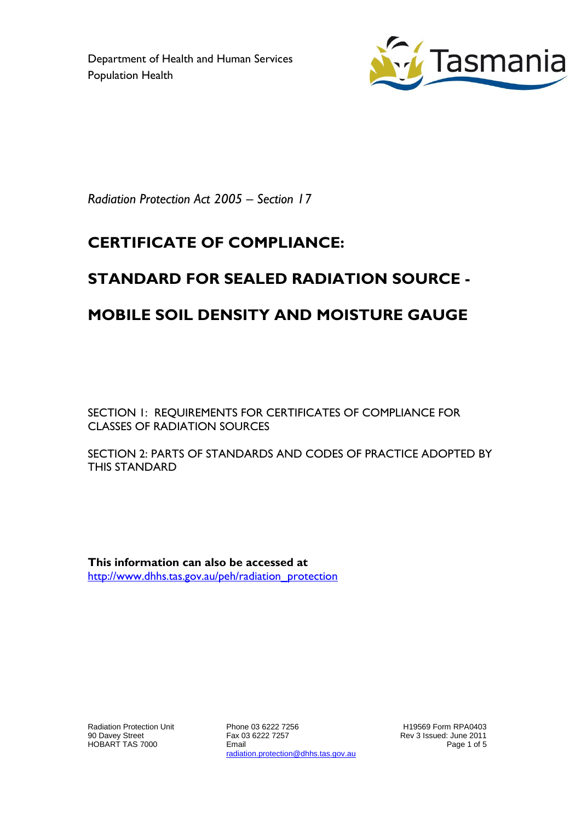Department of Health and Human Services Population Health



*Radiation Protection Act 2005 – Section 17*

## **CERTIFICATE OF COMPLIANCE:**

# **STANDARD FOR SEALED RADIATION SOURCE -**

### **MOBILE SOIL DENSITY AND MOISTURE GAUGE**

SECTION 1: REQUIREMENTS FOR CERTIFICATES OF COMPLIANCE FOR CLASSES OF RADIATION SOURCES

SECTION 2: PARTS OF STANDARDS AND CODES OF PRACTICE ADOPTED BY THIS STANDARD

**This information can also be accessed at** [http://www.dhhs.tas.gov.au/peh/radiation\\_protection](http://www.dhhs.tas.gov.au/peh/radiation_protection)

Radiation Protection Unit 90 Davey Street HOBART TAS 7000

Phone 03 6222 7256 Fax 03 6222 7257 Email radiation.protection@dhhs.tas.gov.au

H19569 Form RPA0403 Rev 3 Issued: June 2011 Page 1 of 5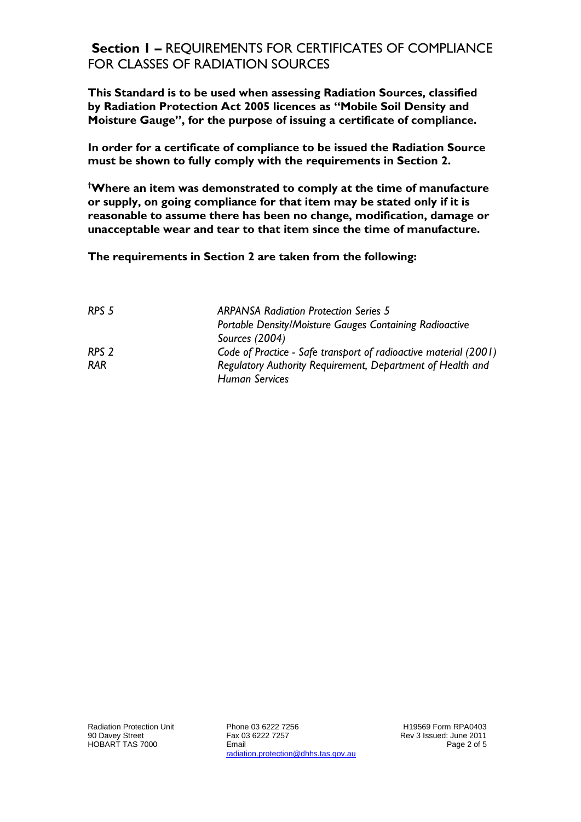#### **Section 1 –** REQUIREMENTS FOR CERTIFICATES OF COMPLIANCE FOR CLASSES OF RADIATION SOURCES

**This Standard is to be used when assessing Radiation Sources, classified by Radiation Protection Act 2005 licences as "Mobile Soil Density and Moisture Gauge", for the purpose of issuing a certificate of compliance.**

**In order for a certificate of compliance to be issued the Radiation Source must be shown to fully comply with the requirements in Section 2.**

**†Where an item was demonstrated to comply at the time of manufacture or supply, on going compliance for that item may be stated only if it is reasonable to assume there has been no change, modification, damage or unacceptable wear and tear to that item since the time of manufacture.**

**The requirements in Section 2 are taken from the following:**

| RPS <sub>5</sub> | <b>ARPANSA Radiation Protection Series 5</b>                     |
|------------------|------------------------------------------------------------------|
|                  | Portable Density/Moisture Gauges Containing Radioactive          |
|                  | Sources (2004)                                                   |
| RPS <sub>2</sub> | Code of Practice - Safe transport of radioactive material (2001) |
| <b>RAR</b>       | Regulatory Authority Requirement, Department of Health and       |
|                  | <b>Human Services</b>                                            |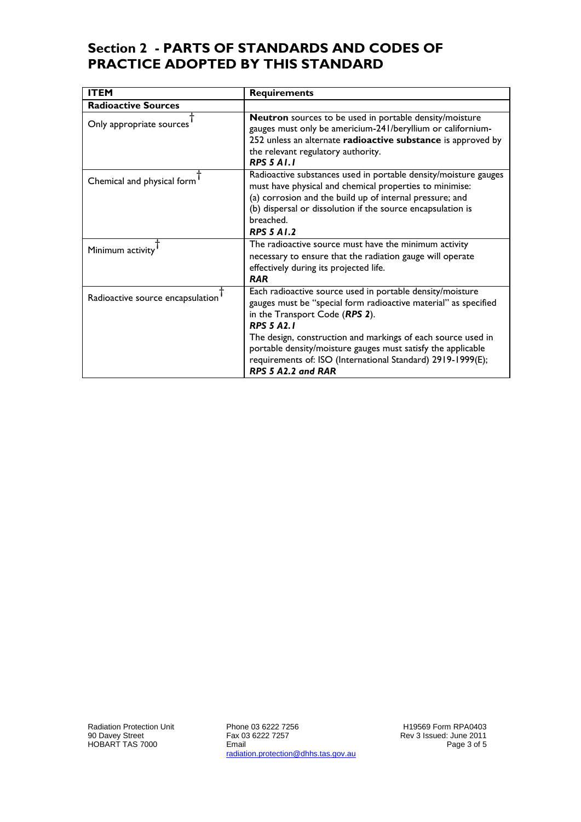#### **Section 2 - PARTS OF STANDARDS AND CODES OF PRACTICE ADOPTED BY THIS STANDARD**

| <b>ITEM</b>                      | <b>Requirements</b>                                                                                                                                                                                                                                                                                                                                                                                      |
|----------------------------------|----------------------------------------------------------------------------------------------------------------------------------------------------------------------------------------------------------------------------------------------------------------------------------------------------------------------------------------------------------------------------------------------------------|
| <b>Radioactive Sources</b>       |                                                                                                                                                                                                                                                                                                                                                                                                          |
| Only appropriate sources         | Neutron sources to be used in portable density/moisture<br>gauges must only be americium-241/beryllium or californium-<br>252 unless an alternate radioactive substance is approved by<br>the relevant regulatory authority.<br><b>RPS 5 A1.1</b>                                                                                                                                                        |
| Chemical and physical form       | Radioactive substances used in portable density/moisture gauges<br>must have physical and chemical properties to minimise:<br>(a) corrosion and the build up of internal pressure; and<br>(b) dispersal or dissolution if the source encapsulation is<br>breached.<br><b>RPS 5 A1.2</b>                                                                                                                  |
| Minimum activity                 | The radioactive source must have the minimum activity<br>necessary to ensure that the radiation gauge will operate<br>effectively during its projected life.<br><b>RAR</b>                                                                                                                                                                                                                               |
| Radioactive source encapsulation | Each radioactive source used in portable density/moisture<br>gauges must be "special form radioactive material" as specified<br>in the Transport Code (RPS 2).<br><b>RPS 5 42.1</b><br>The design, construction and markings of each source used in<br>portable density/moisture gauges must satisfy the applicable<br>requirements of: ISO (International Standard) 2919-1999(E);<br>RPS 5 A2.2 and RAR |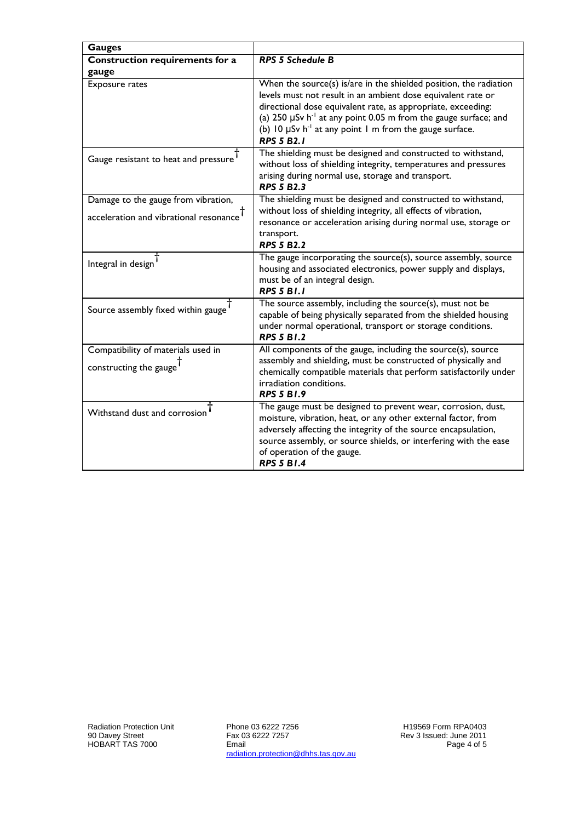| <b>Gauges</b>                                                             |                                                                                                                                                                                                                                                                                                                                                                                        |  |
|---------------------------------------------------------------------------|----------------------------------------------------------------------------------------------------------------------------------------------------------------------------------------------------------------------------------------------------------------------------------------------------------------------------------------------------------------------------------------|--|
| <b>Construction requirements for a</b>                                    | <b>RPS 5 Schedule B</b>                                                                                                                                                                                                                                                                                                                                                                |  |
| gauge                                                                     |                                                                                                                                                                                                                                                                                                                                                                                        |  |
| Exposure rates                                                            | When the source(s) is/are in the shielded position, the radiation<br>levels must not result in an ambient dose equivalent rate or<br>directional dose equivalent rate, as appropriate, exceeding:<br>(a) 250 $\mu$ Sv h <sup>-1</sup> at any point 0.05 m from the gauge surface; and<br>(b) 10 $\mu$ Sv h <sup>-1</sup> at any point 1 m from the gauge surface.<br><b>RPS 5 B2.1</b> |  |
| Gauge resistant to heat and pressure <sup>T</sup>                         | The shielding must be designed and constructed to withstand,<br>without loss of shielding integrity, temperatures and pressures<br>arising during normal use, storage and transport.<br><b>RPS 5 B2.3</b>                                                                                                                                                                              |  |
| Damage to the gauge from vibration,                                       | The shielding must be designed and constructed to withstand,                                                                                                                                                                                                                                                                                                                           |  |
| acceleration and vibrational resonance $^{\text{T}}$                      | without loss of shielding integrity, all effects of vibration,<br>resonance or acceleration arising during normal use, storage or<br>transport.<br><b>RPS 5 B2.2</b>                                                                                                                                                                                                                   |  |
| Integral in design                                                        | The gauge incorporating the source(s), source assembly, source<br>housing and associated electronics, power supply and displays,<br>must be of an integral design.<br><b>RPS 5 B1.1</b>                                                                                                                                                                                                |  |
| Source assembly fixed within gauge                                        | The source assembly, including the source(s), must not be<br>capable of being physically separated from the shielded housing<br>under normal operational, transport or storage conditions.<br><b>RPS 5 B1.2</b>                                                                                                                                                                        |  |
| Compatibility of materials used in<br>constructing the gauge <sup>1</sup> | All components of the gauge, including the source(s), source<br>assembly and shielding, must be constructed of physically and<br>chemically compatible materials that perform satisfactorily under<br>irradiation conditions.<br><b>RPS 5 B1.9</b>                                                                                                                                     |  |
| Withstand dust and corrosion                                              | The gauge must be designed to prevent wear, corrosion, dust,<br>moisture, vibration, heat, or any other external factor, from<br>adversely affecting the integrity of the source encapsulation,<br>source assembly, or source shields, or interfering with the ease<br>of operation of the gauge.<br><b>RPS 5 B1.4</b>                                                                 |  |